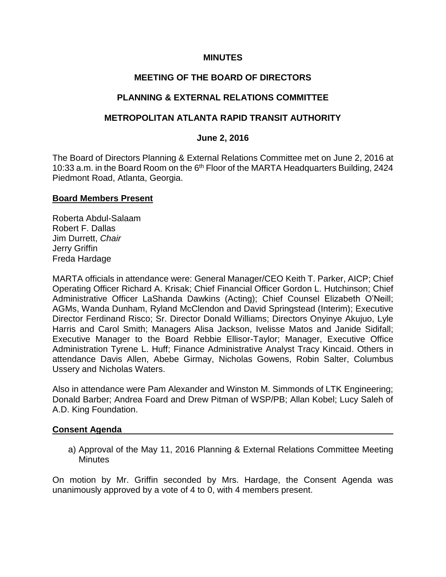### **MINUTES**

## **MEETING OF THE BOARD OF DIRECTORS**

## **PLANNING & EXTERNAL RELATIONS COMMITTEE**

## **METROPOLITAN ATLANTA RAPID TRANSIT AUTHORITY**

#### **June 2, 2016**

The Board of Directors Planning & External Relations Committee met on June 2, 2016 at 10:33 a.m. in the Board Room on the 6<sup>th</sup> Floor of the MARTA Headquarters Building, 2424 Piedmont Road, Atlanta, Georgia.

#### **Board Members Present**

Roberta Abdul-Salaam Robert F. Dallas Jim Durrett, *Chair*  Jerry Griffin Freda Hardage

MARTA officials in attendance were: General Manager/CEO Keith T. Parker, AICP; Chief Operating Officer Richard A. Krisak; Chief Financial Officer Gordon L. Hutchinson; Chief Administrative Officer LaShanda Dawkins (Acting); Chief Counsel Elizabeth O'Neill; AGMs, Wanda Dunham, Ryland McClendon and David Springstead (Interim); Executive Director Ferdinand Risco; Sr. Director Donald Williams; Directors Onyinye Akujuo, Lyle Harris and Carol Smith; Managers Alisa Jackson, Ivelisse Matos and Janide Sidifall; Executive Manager to the Board Rebbie Ellisor-Taylor; Manager, Executive Office Administration Tyrene L. Huff; Finance Administrative Analyst Tracy Kincaid. Others in attendance Davis Allen, Abebe Girmay, Nicholas Gowens, Robin Salter, Columbus Ussery and Nicholas Waters.

Also in attendance were Pam Alexander and Winston M. Simmonds of LTK Engineering; Donald Barber; Andrea Foard and Drew Pitman of WSP/PB; Allan Kobel; Lucy Saleh of A.D. King Foundation.

#### **Consent Agenda**

a) Approval of the May 11, 2016 Planning & External Relations Committee Meeting **Minutes** 

On motion by Mr. Griffin seconded by Mrs. Hardage, the Consent Agenda was unanimously approved by a vote of 4 to 0, with 4 members present.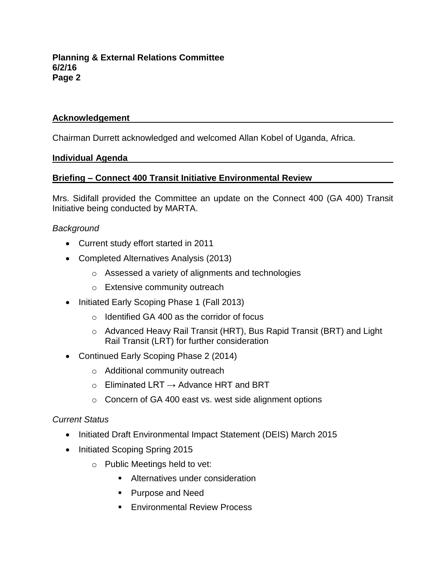## **Acknowledgement**

Chairman Durrett acknowledged and welcomed Allan Kobel of Uganda, Africa.

#### **Individual Agenda**

## **Briefing – Connect 400 Transit Initiative Environmental Review**

Mrs. Sidifall provided the Committee an update on the Connect 400 (GA 400) Transit Initiative being conducted by MARTA.

## *Background*

- Current study effort started in 2011
- Completed Alternatives Analysis (2013)
	- o Assessed a variety of alignments and technologies
	- o Extensive community outreach
- Initiated Early Scoping Phase 1 (Fall 2013)
	- o Identified GA 400 as the corridor of focus
	- o Advanced Heavy Rail Transit (HRT), Bus Rapid Transit (BRT) and Light Rail Transit (LRT) for further consideration
- Continued Early Scoping Phase 2 (2014)
	- o Additional community outreach
	- $\circ$  Eliminated LRT  $\rightarrow$  Advance HRT and BRT
	- o Concern of GA 400 east vs. west side alignment options

## *Current Status*

- Initiated Draft Environmental Impact Statement (DEIS) March 2015
- Initiated Scoping Spring 2015
	- o Public Meetings held to vet:
		- **Alternatives under consideration**
		- **Purpose and Need**
		- **Environmental Review Process**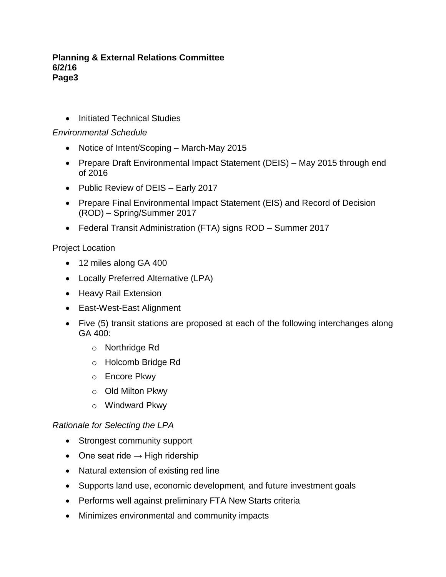• Initiated Technical Studies

## *Environmental Schedule*

- Notice of Intent/Scoping March-May 2015
- Prepare Draft Environmental Impact Statement (DEIS) May 2015 through end of 2016
- Public Review of DEIS Early 2017
- Prepare Final Environmental Impact Statement (EIS) and Record of Decision (ROD) – Spring/Summer 2017
- Federal Transit Administration (FTA) signs ROD Summer 2017

Project Location

- 12 miles along GA 400
- Locally Preferred Alternative (LPA)
- Heavy Rail Extension
- East-West-East Alignment
- Five (5) transit stations are proposed at each of the following interchanges along GA 400:
	- o Northridge Rd
	- o Holcomb Bridge Rd
	- o Encore Pkwy
	- o Old Milton Pkwy
	- o Windward Pkwy

## *Rationale for Selecting the LPA*

- Strongest community support
- One seat ride  $\rightarrow$  High ridership
- Natural extension of existing red line
- Supports land use, economic development, and future investment goals
- Performs well against preliminary FTA New Starts criteria
- Minimizes environmental and community impacts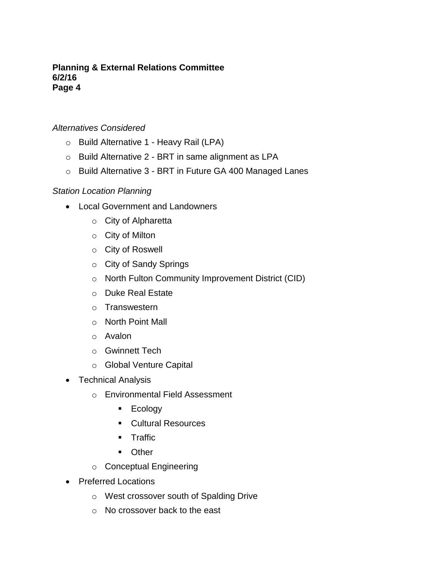## *Alternatives Considered*

- o Build Alternative 1 Heavy Rail (LPA)
- o Build Alternative 2 BRT in same alignment as LPA
- o Build Alternative 3 BRT in Future GA 400 Managed Lanes

## *Station Location Planning*

- Local Government and Landowners
	- o City of Alpharetta
	- o City of Milton
	- o City of Roswell
	- o City of Sandy Springs
	- o North Fulton Community Improvement District (CID)
	- o Duke Real Estate
	- o Transwestern
	- o North Point Mall
	- o Avalon
	- o Gwinnett Tech
	- o Global Venture Capital
- Technical Analysis
	- o Environmental Field Assessment
		- $\blacksquare$  Ecology
		- Cultural Resources
		- **Traffic**
		- **Cther**
	- o Conceptual Engineering
- Preferred Locations
	- o West crossover south of Spalding Drive
	- o No crossover back to the east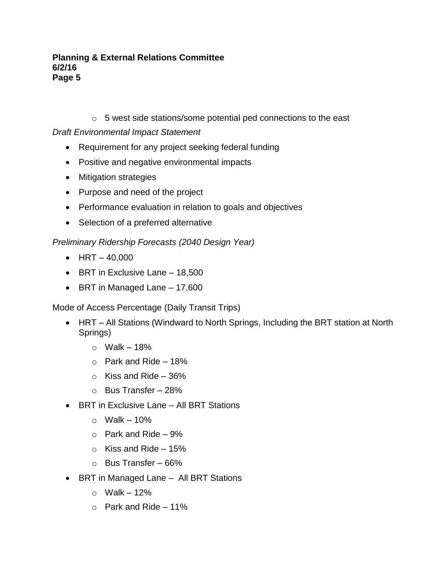o 5 west side stations/some potential ped connections to the east

*Draft Environmental Impact Statement*

- Requirement for any project seeking federal funding
- Positive and negative environmental impacts
- Mitigation strategies
- Purpose and need of the project
- Performance evaluation in relation to goals and objectives
- Selection of a preferred alternative

# *Preliminary Ridership Forecasts (2040 Design Year)*

- $\bullet$  HRT 40,000
- $\bullet$  BRT in Exclusive Lane 18,500
- BRT in Managed Lane 17,600

Mode of Access Percentage (Daily Transit Trips)

- HRT All Stations (Windward to North Springs, Including the BRT station at North Springs)
	- $\circ$  Walk 18%
	- $\circ$  Park and Ride 18%
	- $\circ$  Kiss and Ride 36%
	- $\circ$  Bus Transfer 28%
- BRT in Exclusive Lane All BRT Stations
	- $\circ$  Walk 10%
	- $\circ$  Park and Ride 9%
	- $\circ$  Kiss and Ride 15%
	- o Bus Transfer 66%
- BRT in Managed Lane All BRT Stations
	- $\circ$  Walk 12%
	- $\circ$  Park and Ride 11%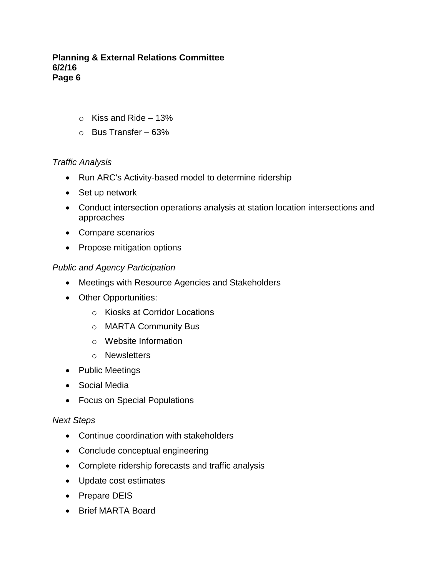- $\circ$  Kiss and Ride 13%
- o Bus Transfer 63%

## *Traffic Analysis*

- Run ARC's Activity-based model to determine ridership
- Set up network
- Conduct intersection operations analysis at station location intersections and approaches
- Compare scenarios
- Propose mitigation options

## *Public and Agency Participation*

- Meetings with Resource Agencies and Stakeholders
- Other Opportunities:
	- o Kiosks at Corridor Locations
	- o MARTA Community Bus
	- o Website Information
	- o Newsletters
- Public Meetings
- Social Media
- Focus on Special Populations

## *Next Steps*

- Continue coordination with stakeholders
- Conclude conceptual engineering
- Complete ridership forecasts and traffic analysis
- Update cost estimates
- Prepare DEIS
- Brief MARTA Board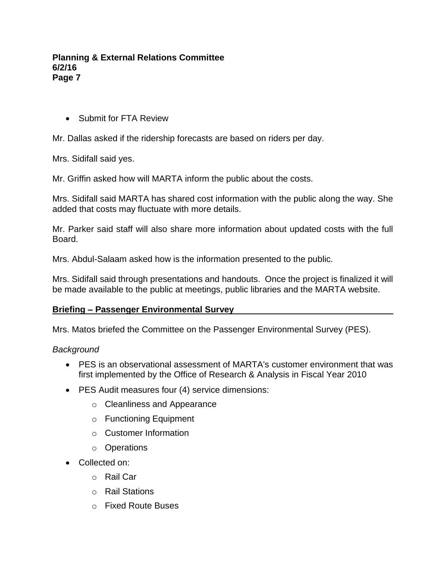Submit for FTA Review

Mr. Dallas asked if the ridership forecasts are based on riders per day.

Mrs. Sidifall said yes.

Mr. Griffin asked how will MARTA inform the public about the costs.

Mrs. Sidifall said MARTA has shared cost information with the public along the way. She added that costs may fluctuate with more details.

Mr. Parker said staff will also share more information about updated costs with the full Board.

Mrs. Abdul-Salaam asked how is the information presented to the public.

Mrs. Sidifall said through presentations and handouts. Once the project is finalized it will be made available to the public at meetings, public libraries and the MARTA website.

## **Briefing – Passenger Environmental Survey**

Mrs. Matos briefed the Committee on the Passenger Environmental Survey (PES).

## *Background*

- PES is an observational assessment of MARTA's customer environment that was first implemented by the Office of Research & Analysis in Fiscal Year 2010
- PES Audit measures four (4) service dimensions:
	- o Cleanliness and Appearance
	- o Functioning Equipment
	- o Customer Information
	- o Operations
- Collected on:
	- o Rail Car
	- o Rail Stations
	- o Fixed Route Buses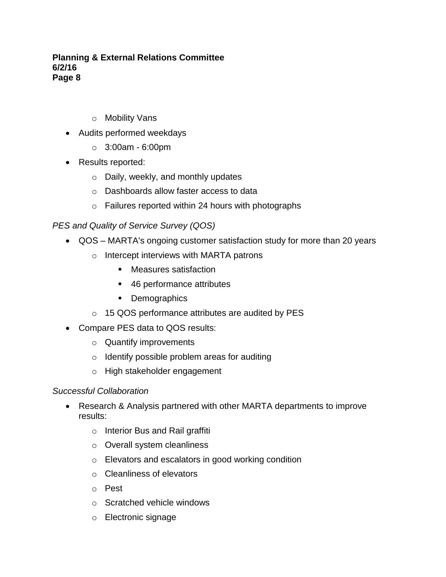- o Mobility Vans
- Audits performed weekdays
	- $\circ$  3:00am 6:00pm
- Results reported:
	- o Daily, weekly, and monthly updates
	- o Dashboards allow faster access to data
	- $\circ$  Failures reported within 24 hours with photographs

# *PES and Quality of Service Survey (QOS)*

- QOS MARTA's ongoing customer satisfaction study for more than 20 years
	- o Intercept interviews with MARTA patrons
		- Measures satisfaction
		- 46 performance attributes
		- Demographics
	- o 15 QOS performance attributes are audited by PES
- Compare PES data to QOS results:
	- o Quantify improvements
	- o Identify possible problem areas for auditing
	- o High stakeholder engagement

## *Successful Collaboration*

- Research & Analysis partnered with other MARTA departments to improve results:
	- o Interior Bus and Rail graffiti
	- o Overall system cleanliness
	- o Elevators and escalators in good working condition
	- o Cleanliness of elevators
	- o Pest
	- o Scratched vehicle windows
	- o Electronic signage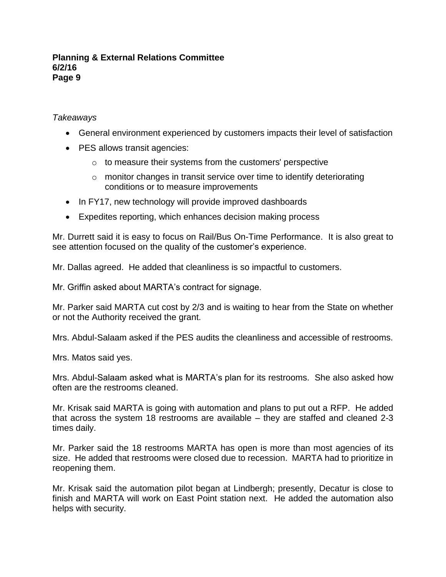## *Takeaways*

- General environment experienced by customers impacts their level of satisfaction
- PES allows transit agencies:
	- o to measure their systems from the customers' perspective
	- $\circ$  monitor changes in transit service over time to identify deteriorating conditions or to measure improvements
- In FY17, new technology will provide improved dashboards
- Expedites reporting, which enhances decision making process

Mr. Durrett said it is easy to focus on Rail/Bus On-Time Performance. It is also great to see attention focused on the quality of the customer's experience.

Mr. Dallas agreed. He added that cleanliness is so impactful to customers.

Mr. Griffin asked about MARTA's contract for signage.

Mr. Parker said MARTA cut cost by 2/3 and is waiting to hear from the State on whether or not the Authority received the grant.

Mrs. Abdul-Salaam asked if the PES audits the cleanliness and accessible of restrooms.

Mrs. Matos said yes.

Mrs. Abdul-Salaam asked what is MARTA's plan for its restrooms. She also asked how often are the restrooms cleaned.

Mr. Krisak said MARTA is going with automation and plans to put out a RFP. He added that across the system 18 restrooms are available – they are staffed and cleaned 2-3 times daily.

Mr. Parker said the 18 restrooms MARTA has open is more than most agencies of its size. He added that restrooms were closed due to recession. MARTA had to prioritize in reopening them.

Mr. Krisak said the automation pilot began at Lindbergh; presently, Decatur is close to finish and MARTA will work on East Point station next. He added the automation also helps with security.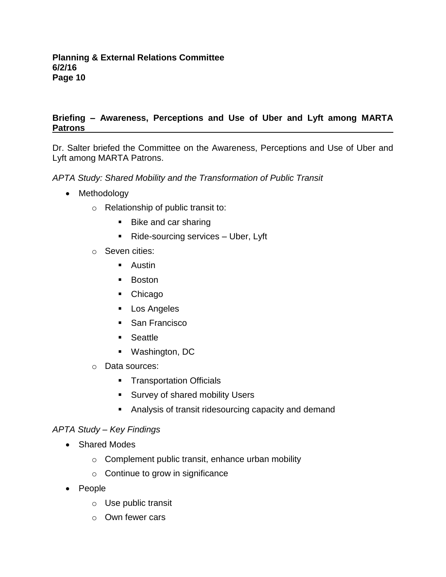## **Briefing – Awareness, Perceptions and Use of Uber and Lyft among MARTA Patrons**

Dr. Salter briefed the Committee on the Awareness, Perceptions and Use of Uber and Lyft among MARTA Patrons.

*APTA Study: Shared Mobility and the Transformation of Public Transit*

- Methodology
	- o Relationship of public transit to:
		- Bike and car sharing
		- Ride-sourcing services Uber, Lyft
	- o Seven cities:
		- **Austin**
		- **Boston**
		- Chicago
		- **Los Angeles**
		- **San Francisco**
		- **Seattle**
		- Washington, DC
	- o Data sources:
		- **Transportation Officials**
		- **Survey of shared mobility Users**
		- Analysis of transit ridesourcing capacity and demand

## *APTA Study – Key Findings*

- Shared Modes
	- $\circ$  Complement public transit, enhance urban mobility
	- $\circ$  Continue to grow in significance
- People
	- o Use public transit
	- o Own fewer cars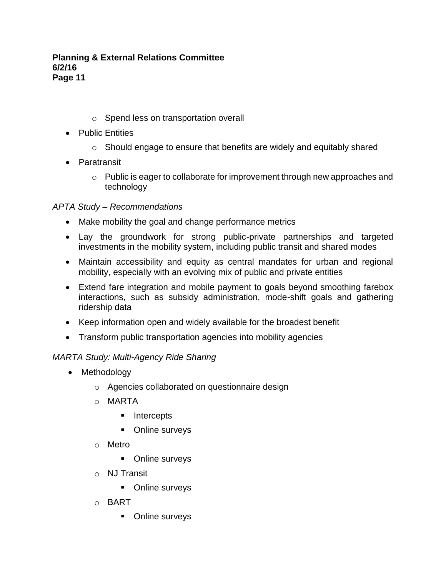- o Spend less on transportation overall
- Public Entities
	- o Should engage to ensure that benefits are widely and equitably shared
- Paratransit
	- $\circ$  Public is eager to collaborate for improvement through new approaches and technology

# *APTA Study – Recommendations*

- Make mobility the goal and change performance metrics
- Lay the groundwork for strong public-private partnerships and targeted investments in the mobility system, including public transit and shared modes
- Maintain accessibility and equity as central mandates for urban and regional mobility, especially with an evolving mix of public and private entities
- Extend fare integration and mobile payment to goals beyond smoothing farebox interactions, such as subsidy administration, mode-shift goals and gathering ridership data
- Keep information open and widely available for the broadest benefit
- Transform public transportation agencies into mobility agencies

## *MARTA Study: Multi-Agency Ride Sharing*

- Methodology
	- o Agencies collaborated on questionnaire design
	- o MARTA
		- **Intercepts**
		- **•** Online surveys
	- o Metro
		- **•** Online surveys
	- o NJ Transit
		- **•** Online surveys
	- o BART
		- **•** Online surveys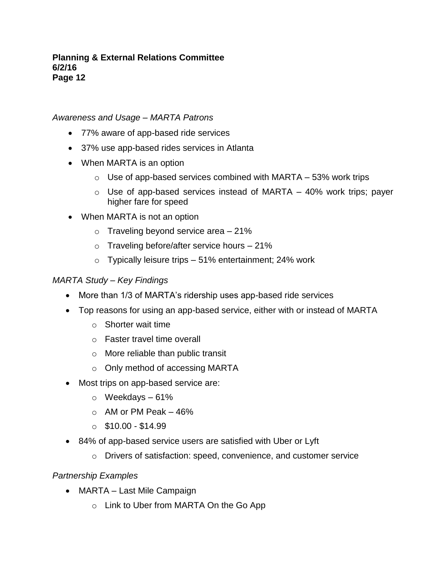## *Awareness and Usage – MARTA Patrons*

- 77% aware of app-based ride services
- 37% use app-based rides services in Atlanta
- When MARTA is an option
	- $\circ$  Use of app-based services combined with MARTA 53% work trips
	- $\circ$  Use of app-based services instead of MARTA 40% work trips; payer higher fare for speed
- When MARTA is not an option
	- $\circ$  Traveling beyond service area 21%
	- $\circ$  Traveling before/after service hours 21%
	- o Typically leisure trips 51% entertainment; 24% work

## *MARTA Study – Key Findings*

- More than 1/3 of MARTA's ridership uses app-based ride services
- Top reasons for using an app-based service, either with or instead of MARTA
	- o Shorter wait time
	- o Faster travel time overall
	- o More reliable than public transit
	- o Only method of accessing MARTA
- Most trips on app-based service are:
	- $\circ$  Weekdays 61%
	- $\circ$  AM or PM Peak 46%
	- $\circ$  \$10.00 \$14.99
- 84% of app-based service users are satisfied with Uber or Lyft
	- o Drivers of satisfaction: speed, convenience, and customer service

## *Partnership Examples*

- MARTA Last Mile Campaign
	- o Link to Uber from MARTA On the Go App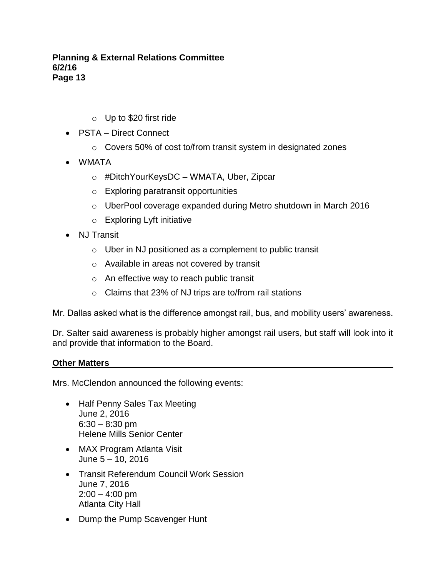- o Up to \$20 first ride
- PSTA Direct Connect
	- o Covers 50% of cost to/from transit system in designated zones
- WMATA
	- o #DitchYourKeysDC WMATA, Uber, Zipcar
	- o Exploring paratransit opportunities
	- $\circ$  UberPool coverage expanded during Metro shutdown in March 2016
	- o Exploring Lyft initiative
- NJ Transit
	- $\circ$  Uber in NJ positioned as a complement to public transit
	- o Available in areas not covered by transit
	- o An effective way to reach public transit
	- o Claims that 23% of NJ trips are to/from rail stations

Mr. Dallas asked what is the difference amongst rail, bus, and mobility users' awareness.

Dr. Salter said awareness is probably higher amongst rail users, but staff will look into it and provide that information to the Board.

## **Other Matters**

Mrs. McClendon announced the following events:

- Half Penny Sales Tax Meeting June 2, 2016  $6:30 - 8:30$  pm Helene Mills Senior Center
- MAX Program Atlanta Visit June 5 – 10, 2016
- Transit Referendum Council Work Session June 7, 2016  $2:00 - 4:00$  pm Atlanta City Hall
- Dump the Pump Scavenger Hunt